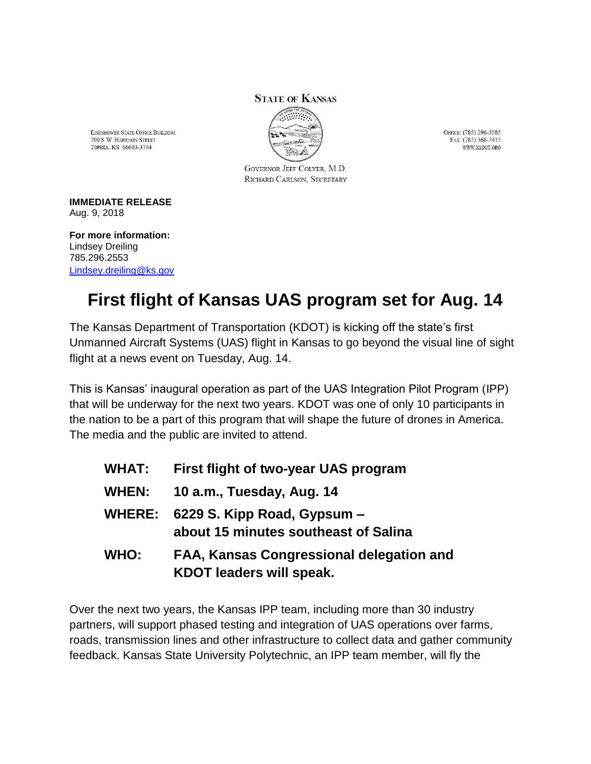## **STATE OF KANSAS**



EISENHOWER STATE OFFICE BUILDING 700 S.W. HARRISON STREET TOPEKA, KS 66603-3754

> GOVERNOR JEFF COLYER, M.D. RICHARD CARLSON, SECRETARY

OFFICE: (785) 296-3585 FAX: (785) 368-7415 WWW.KSDOT.ORG

## **IMMEDIATE RELEASE** Aug. 9, 2018

**For more information:** Lindsey Dreiling 785.296.2553 [Lindsey.dreiling@ks.gov](mailto:Lindsey.dreiling@ks.gov)

## **First flight of Kansas UAS program set for Aug. 14**

The Kansas Department of Transportation (KDOT) is kicking off the state's first Unmanned Aircraft Systems (UAS) flight in Kansas to go beyond the visual line of sight flight at a news event on Tuesday, Aug. 14.

This is Kansas' inaugural operation as part of the UAS Integration Pilot Program (IPP) that will be underway for the next two years. KDOT was one of only 10 participants in the nation to be a part of this program that will shape the future of drones in America. The media and the public are invited to attend.

| <b>WHAT:</b>  | First flight of two-year UAS program                                               |
|---------------|------------------------------------------------------------------------------------|
| <b>WHEN:</b>  | 10 a.m., Tuesday, Aug. 14                                                          |
| <b>WHERE:</b> | 6229 S. Kipp Road, Gypsum -<br>about 15 minutes southeast of Salina                |
| WHO:          | <b>FAA, Kansas Congressional delegation and</b><br><b>KDOT leaders will speak.</b> |

Over the next two years, the Kansas IPP team, including more than 30 industry partners, will support phased testing and integration of UAS operations over farms, roads, transmission lines and other infrastructure to collect data and gather community feedback. Kansas State University Polytechnic, an IPP team member, will fly the